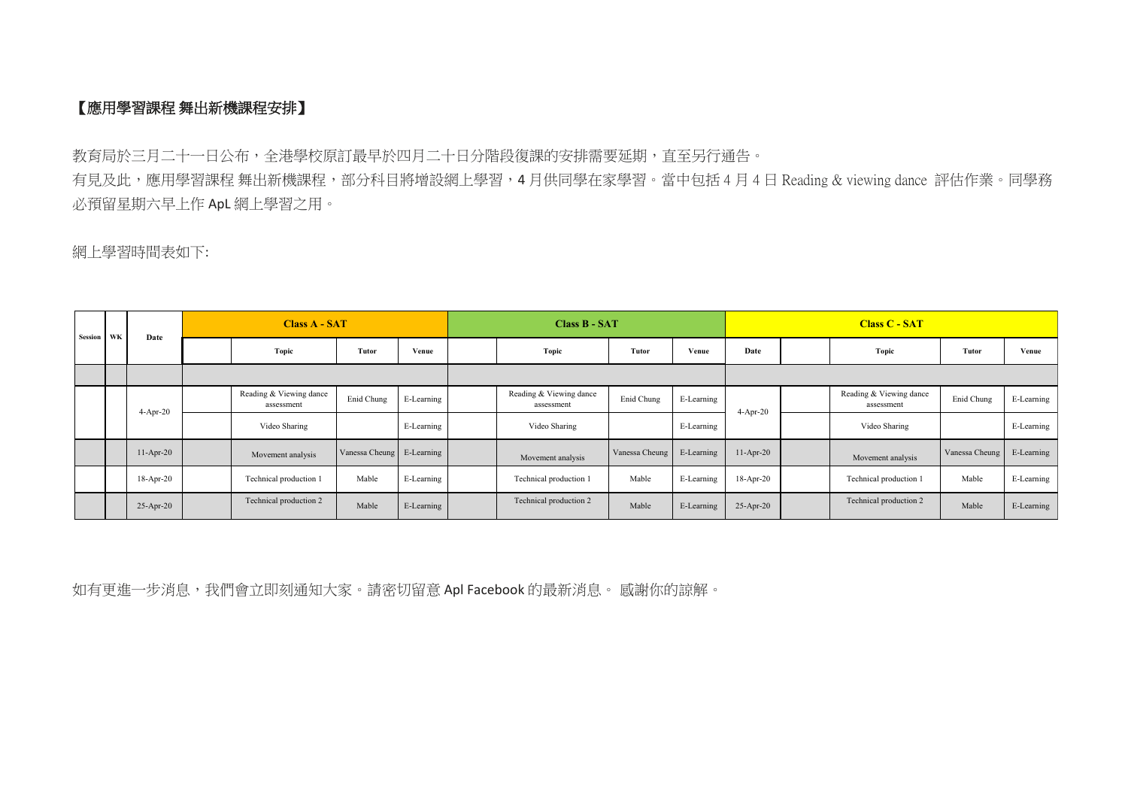## **【應用學習課程 舞出新機課程安排】**

教育局於三月二十一日公布,全港學校原訂最早於四月二十日分階段復課的安排需要延期,直至另行通告。 有見及此,應用學習課程 舞出新機課程,部分科目將增設網上學習,4月供同學在家學習。當中包括4月4日 Reading & viewing dance 評估作業。同學務 必預留星期六早上作 ApL 網上學習之用。

網上學習時間表如下:

| Session WK |            | Date        | <b>Class A - SAT</b> |                                       |                           |            | <b>Class B - SAT</b> |                                       |                |              | <b>Class C - SAT</b> |      |                                       |                |            |       |  |
|------------|------------|-------------|----------------------|---------------------------------------|---------------------------|------------|----------------------|---------------------------------------|----------------|--------------|----------------------|------|---------------------------------------|----------------|------------|-------|--|
|            |            |             |                      |                                       | Topic                     | Tutor      | Venue                |                                       | <b>Topic</b>   | <b>Tutor</b> | Venue                | Date |                                       | Topic          | Tutor      | Venue |  |
|            |            |             |                      |                                       |                           |            |                      |                                       |                |              |                      |      |                                       |                |            |       |  |
|            | $4-Apr-20$ |             |                      | Reading & Viewing dance<br>assessment | Enid Chung                | E-Learning |                      | Reading & Viewing dance<br>assessment | Enid Chung     | E-Learning   | $4-Apr-20$           |      | Reading & Viewing dance<br>assessment | Enid Chung     | E-Learning |       |  |
|            |            |             |                      | Video Sharing                         |                           | E-Learning |                      | Video Sharing                         |                | E-Learning   |                      |      | Video Sharing                         |                | E-Learning |       |  |
|            |            | $11-Apr-20$ |                      | Movement analysis                     | Vanessa Cheung E-Learning |            |                      | Movement analysis                     | Vanessa Cheung | E-Learning   | $11-Apr-20$          |      | Movement analysis                     | Vanessa Cheung | E-Learning |       |  |
|            |            | $18-Apr-20$ |                      | Technical production 1                | Mable                     | E-Learning |                      | Technical production 1                | Mable          | E-Learning   | $18-Apr-20$          |      | Technical production 1                | Mable          | E-Learning |       |  |
|            |            | $25-Apr-20$ |                      | Technical production 2                | Mable                     | E-Learning |                      | Technical production 2                | Mable          | E-Learning   | $25$ -Apr-20         |      | Technical production 2                | Mable          | E-Learning |       |  |

如有更進一步消息,我們會立即刻通知大家。請密切留意 Apl Facebook 的最新消息。 感謝你的諒解。